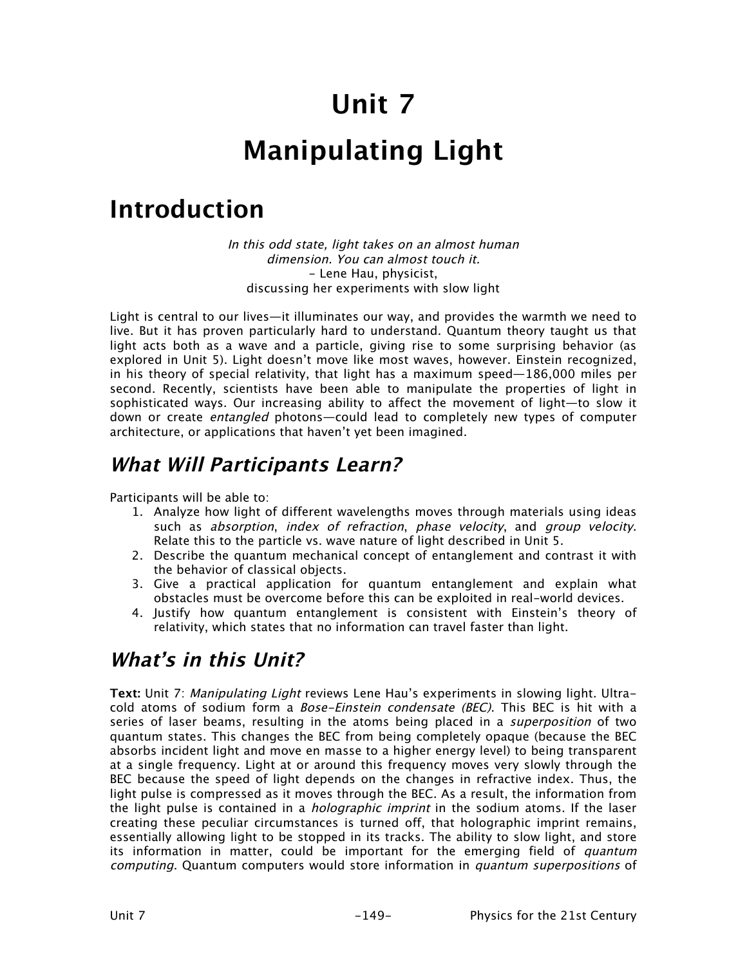# **Unit 7**

# **Manipulating Light**

# **Introduction**

In this odd state, light takes on an almost human dimension. You can almost touch it. - Lene Hau, physicist, discussing her experiments with slow light

Light is central to our lives—it illuminates our way, and provides the warmth we need to live. But it has proven particularly hard to understand. Quantum theory taught us that light acts both as a wave and a particle, giving rise to some surprising behavior (as explored in Unit 5). Light doesn't move like most waves, however. Einstein recognized, in his theory of special relativity, that light has a maximum speed—186,000 miles per second. Recently, scientists have been able to manipulate the properties of light in sophisticated ways. Our increasing ability to affect the movement of light—to slow it down or create *entangled* photons—could lead to completely new types of computer architecture, or applications that haven't yet been imagined.

## **What Will Participants Learn?**

Participants will be able to:

- 1. Analyze how light of different wavelengths moves through materials using ideas such as absorption, index of refraction, phase velocity, and group velocity. Relate this to the particle vs. wave nature of light described in Unit 5.
- 2. Describe the quantum mechanical concept of entanglement and contrast it with the behavior of classical objects.
- 3. Give a practical application for quantum entanglement and explain what obstacles must be overcome before this can be exploited in real-world devices.
- 4. Justify how quantum entanglement is consistent with Einstein's theory of relativity, which states that no information can travel faster than light.

## **What's in this Unit?**

**Text:** Unit 7: Manipulating Light reviews Lene Hau's experiments in slowing light. Ultracold atoms of sodium form a *Bose-Einstein condensate (BEC)*. This BEC is hit with a series of laser beams, resulting in the atoms being placed in a *superposition* of two quantum states. This changes the BEC from being completely opaque (because the BEC absorbs incident light and move en masse to a higher energy level) to being transparent at a single frequency. Light at or around this frequency moves very slowly through the BEC because the speed of light depends on the changes in refractive index. Thus, the light pulse is compressed as it moves through the BEC. As a result, the information from the light pulse is contained in a *holographic imprint* in the sodium atoms. If the laser creating these peculiar circumstances is turned off, that holographic imprint remains, essentially allowing light to be stopped in its tracks. The ability to slow light, and store its information in matter, could be important for the emerging field of *quantum* computing. Quantum computers would store information in quantum superpositions of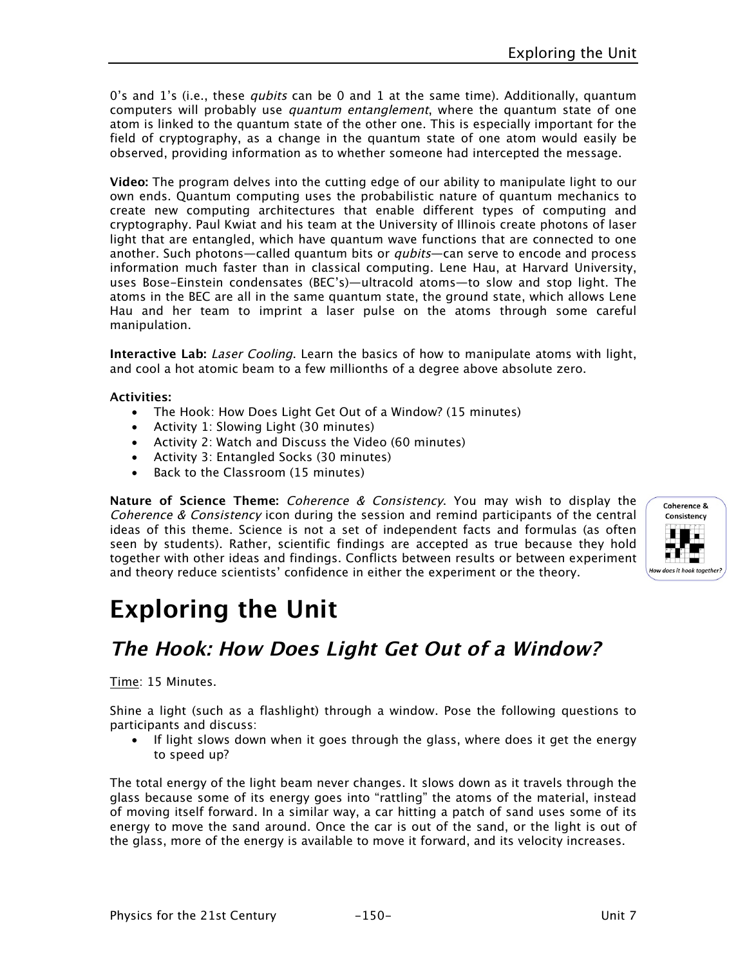0's and 1's (i.e., these *qubits* can be 0 and 1 at the same time). Additionally, quantum computers will probably use *quantum entanglement*, where the quantum state of one atom is linked to the quantum state of the other one. This is especially important for the field of cryptography, as a change in the quantum state of one atom would easily be observed, providing information as to whether someone had intercepted the message.

**Video:** The program delves into the cutting edge of our ability to manipulate light to our own ends. Quantum computing uses the probabilistic nature of quantum mechanics to create new computing architectures that enable different types of computing and cryptography. Paul Kwiat and his team at the University of Illinois create photons of laser light that are entangled, which have quantum wave functions that are connected to one another. Such photons—called quantum bits or *qubits*—can serve to encode and process information much faster than in classical computing. Lene Hau, at Harvard University, uses Bose-Einstein condensates (BEC's)—ultracold atoms—to slow and stop light. The atoms in the BEC are all in the same quantum state, the ground state, which allows Lene Hau and her team to imprint a laser pulse on the atoms through some careful manipulation.

**Interactive Lab:** Laser Cooling. Learn the basics of how to manipulate atoms with light, and cool a hot atomic beam to a few millionths of a degree above absolute zero.

#### **Activities:**

- The Hook: How Does Light Get Out of a Window? (15 minutes)
- Activity 1: Slowing Light (30 minutes)
- Activity 2: Watch and Discuss the Video (60 minutes)
- Activity 3: Entangled Socks (30 minutes)
- Back to the Classroom (15 minutes)

**Nature of Science Theme:** Coherence & Consistency. You may wish to display the Coherence & Consistency icon during the session and remind participants of the central ideas of this theme. Science is not a set of independent facts and formulas (as often seen by students). Rather, scientific findings are accepted as true because they hold together with other ideas and findings. Conflicts between results or between experiment and theory reduce scientists' confidence in either the experiment or the theory.



# **Exploring the Unit**

## **The Hook: How Does Light Get Out of a Window?**

#### Time: 15 Minutes.

Shine a light (such as a flashlight) through a window. Pose the following questions to participants and discuss:

• If light slows down when it goes through the glass, where does it get the energy to speed up?

The total energy of the light beam never changes. It slows down as it travels through the glass because some of its energy goes into "rattling" the atoms of the material, instead of moving itself forward. In a similar way, a car hitting a patch of sand uses some of its energy to move the sand around. Once the car is out of the sand, or the light is out of the glass, more of the energy is available to move it forward, and its velocity increases.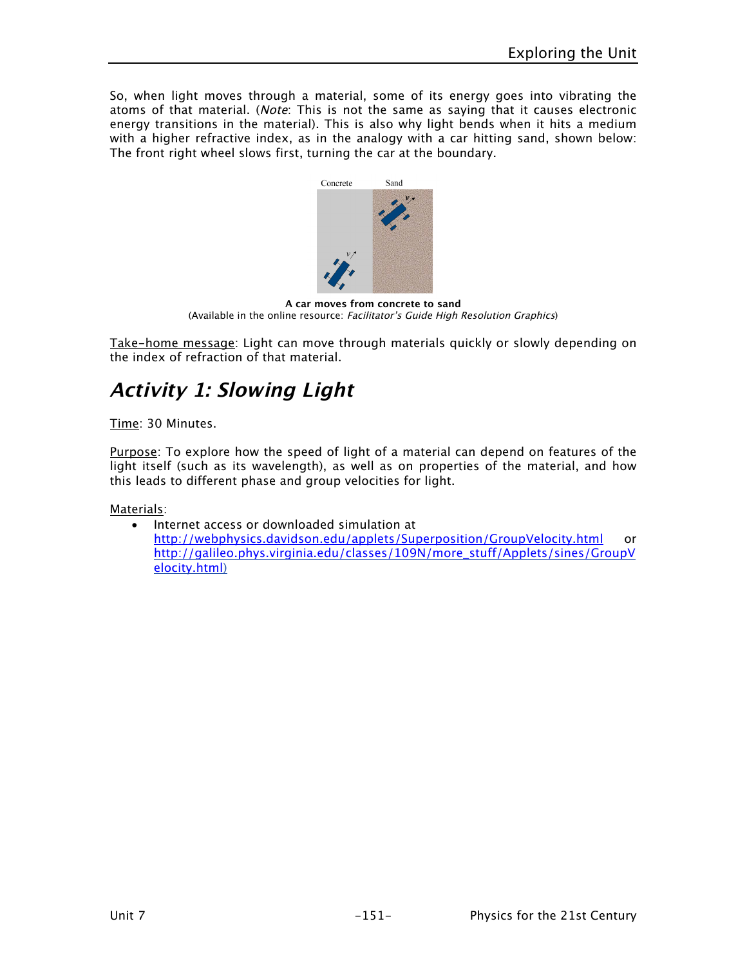So, when light moves through a material, some of its energy goes into vibrating the atoms of that material. (Note: This is not the same as saying that it causes electronic energy transitions in the material). This is also why light bends when it hits a medium with a higher refractive index, as in the analogy with a car hitting sand, shown below: The front right wheel slows first, turning the car at the boundary.



**A car moves from concrete to sand**  (Available in the online resource: Facilitator's Guide High Resolution Graphics)

Take-home message: Light can move through materials quickly or slowly depending on the index of refraction of that material.

# **Activity 1: Slowing Light**

Time: 30 Minutes.

Purpose: To explore how the speed of light of a material can depend on features of the light itself (such as its wavelength), as well as on properties of the material, and how this leads to different phase and group velocities for light.

Materials:

• Internet access or downloaded simulation at http://webphysics.davidson.edu/applets/Superposition/GroupVelocity.html or http://galileo.phys.virginia.edu/classes/109N/more\_stuff/Applets/sines/GroupV elocity.html)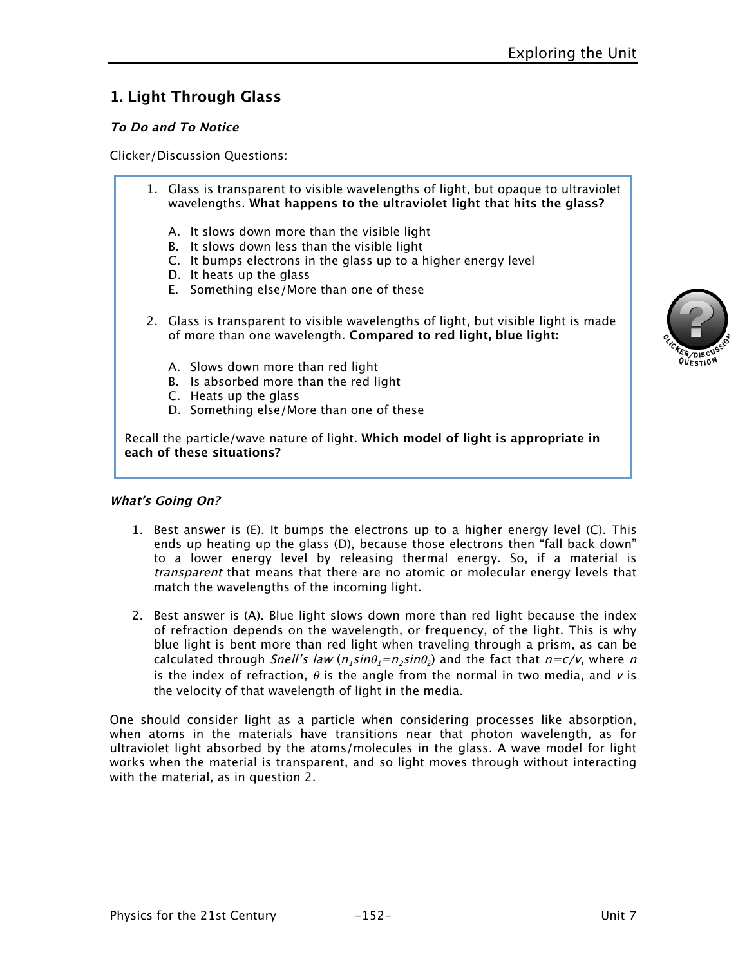### **1. Light Through Glass**

#### **To Do and To Notice**

Clicker/Discussion Questions:

| 1. Glass is transparent to visible wavelengths of light, but opaque to ultraviolet<br>wavelengths. What happens to the ultraviolet light that hits the glass?                                                                          |
|----------------------------------------------------------------------------------------------------------------------------------------------------------------------------------------------------------------------------------------|
| A. It slows down more than the visible light<br>B. It slows down less than the visible light<br>C. It bumps electrons in the glass up to a higher energy level<br>D. It heats up the glass<br>E. Something else/More than one of these |
| 2. Glass is transparent to visible wavelengths of light, but visible light is made<br>of more than one wavelength. Compared to red light, blue light:                                                                                  |
| A. Slows down more than red light<br>B. Is absorbed more than the red light<br>C. Heats up the glass<br>D. Something else/More than one of these                                                                                       |
| Recall the particle/wave nature of light. Whi <b>ch model of light is appropriate in</b><br>each of these situations?                                                                                                                  |

#### **What's Going On?**

- 1. Best answer is (E). It bumps the electrons up to a higher energy level (C). This ends up heating up the glass (D), because those electrons then "fall back down" to a lower energy level by releasing thermal energy. So, if a material is transparent that means that there are no atomic or molecular energy levels that match the wavelengths of the incoming light.
- 2. Best answer is (A). Blue light slows down more than red light because the index of refraction depends on the wavelength, or frequency, of the light. This is why blue light is bent more than red light when traveling through a prism, as can be calculated through Snell's law ( $n_1 sin\theta_1 = n_2 sin\theta_2$ ) and the fact that  $n = c/v$ , where n is the index of refraction,  $\theta$  is the angle from the normal in two media, and v is the velocity of that wavelength of light in the media.

One should consider light as a particle when considering processes like absorption, when atoms in the materials have transitions near that photon wavelength, as for ultraviolet light absorbed by the atoms/molecules in the glass. A wave model for light works when the material is transparent, and so light moves through without interacting with the material, as in question 2.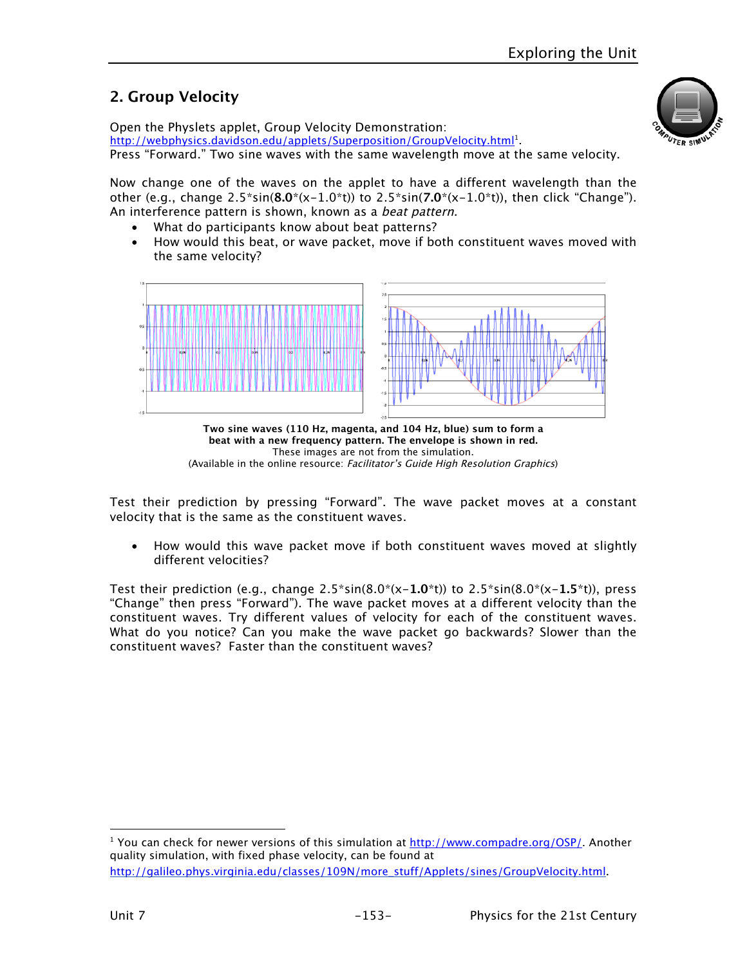## **2. Group Velocity**

Open the Physlets applet, Group Velocity Demonstration: http://webphysics.davidson.edu/applets/Superposition/GroupVelocity.html<sup>1</sup>. Press "Forward." Two sine waves with the same wavelength move at the same velocity.

Now change one of the waves on the applet to have a different wavelength than the other (e.g., change 2.5\*sin(**8.0**\*(x-1.0\*t)) to 2.5\*sin(**7.0**\*(x-1.0\*t)), then click "Change"). An interference pattern is shown, known as a *beat pattern*.

- What do participants know about beat patterns?
- How would this beat, or wave packet, move if both constituent waves moved with the same velocity?





Test their prediction by pressing "Forward". The wave packet moves at a constant velocity that is the same as the constituent waves.

• How would this wave packet move if both constituent waves moved at slightly different velocities?

Test their prediction (e.g., change 2.5\*sin(8.0\*(x-**1.0**\*t)) to 2.5\*sin(8.0\*(x-**1.5**\*t)), press "Change" then press "Forward"). The wave packet moves at a different velocity than the constituent waves. Try different values of velocity for each of the constituent waves. What do you notice? Can you make the wave packet go backwards? Slower than the constituent waves? Faster than the constituent waves?

 $\overline{a}$ 

<sup>&</sup>lt;sup>1</sup> You can check for newer versions of this simulation at http://www.compadre.org/OSP/. Another quality simulation, with fixed phase velocity, can be found at http://galileo.phys.virginia.edu/classes/109N/more\_stuff/Applets/sines/GroupVelocity.html.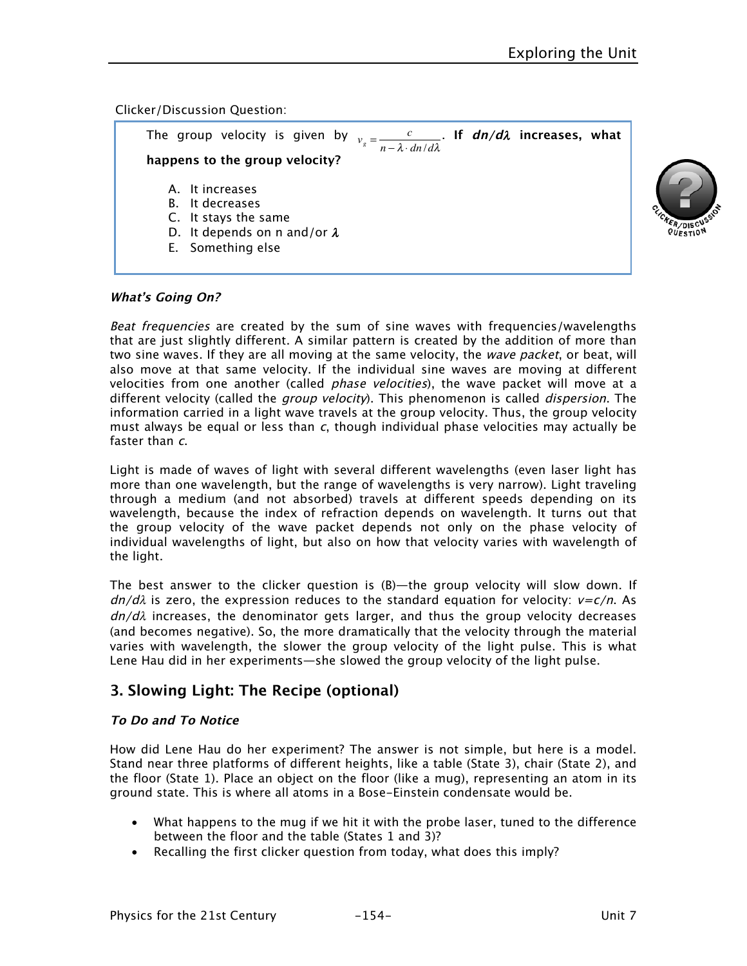#### Clicker/Discussion Question:

| The group velocity is given by $v_g = \frac{c}{n - \lambda \cdot dn/d\lambda}$ . If $dn/d\lambda$ increases, what<br>happens to the group velocity? |  |  |  |  |
|-----------------------------------------------------------------------------------------------------------------------------------------------------|--|--|--|--|
|                                                                                                                                                     |  |  |  |  |
| A. It increases                                                                                                                                     |  |  |  |  |
| B. It decreases                                                                                                                                     |  |  |  |  |
| C. It stays the same                                                                                                                                |  |  |  |  |
| D. It depends on n and/or $\lambda$                                                                                                                 |  |  |  |  |
| E. Something else                                                                                                                                   |  |  |  |  |

#### **What's Going On?**

Beat frequencies are created by the sum of sine waves with frequencies/wavelengths that are just slightly different. A similar pattern is created by the addition of more than two sine waves. If they are all moving at the same velocity, the wave packet, or beat, will also move at that same velocity. If the individual sine waves are moving at different velocities from one another (called *phase velocities*), the wave packet will move at a different velocity (called the *group velocity*). This phenomenon is called *dispersion*. The information carried in a light wave travels at the group velocity. Thus, the group velocity must always be equal or less than  $c$ , though individual phase velocities may actually be faster than c.

Light is made of waves of light with several different wavelengths (even laser light has more than one wavelength, but the range of wavelengths is very narrow). Light traveling through a medium (and not absorbed) travels at different speeds depending on its wavelength, because the index of refraction depends on wavelength. It turns out that the group velocity of the wave packet depends not only on the phase velocity of individual wavelengths of light, but also on how that velocity varies with wavelength of the light.

The best answer to the clicker question is (B)—the group velocity will slow down. If  $dn/d\lambda$  is zero, the expression reduces to the standard equation for velocity:  $v = c/n$ . As  $dn/d\lambda$  increases, the denominator gets larger, and thus the group velocity decreases (and becomes negative). So, the more dramatically that the velocity through the material varies with wavelength, the slower the group velocity of the light pulse. This is what Lene Hau did in her experiments—she slowed the group velocity of the light pulse.

### **3. Slowing Light: The Recipe (optional)**

#### **To Do and To Notice**

How did Lene Hau do her experiment? The answer is not simple, but here is a model. Stand near three platforms of different heights, like a table (State 3), chair (State 2), and the floor (State 1). Place an object on the floor (like a mug), representing an atom in its ground state. This is where all atoms in a Bose-Einstein condensate would be.

- What happens to the mug if we hit it with the probe laser, tuned to the difference between the floor and the table (States 1 and 3)?
- Recalling the first clicker question from today, what does this imply?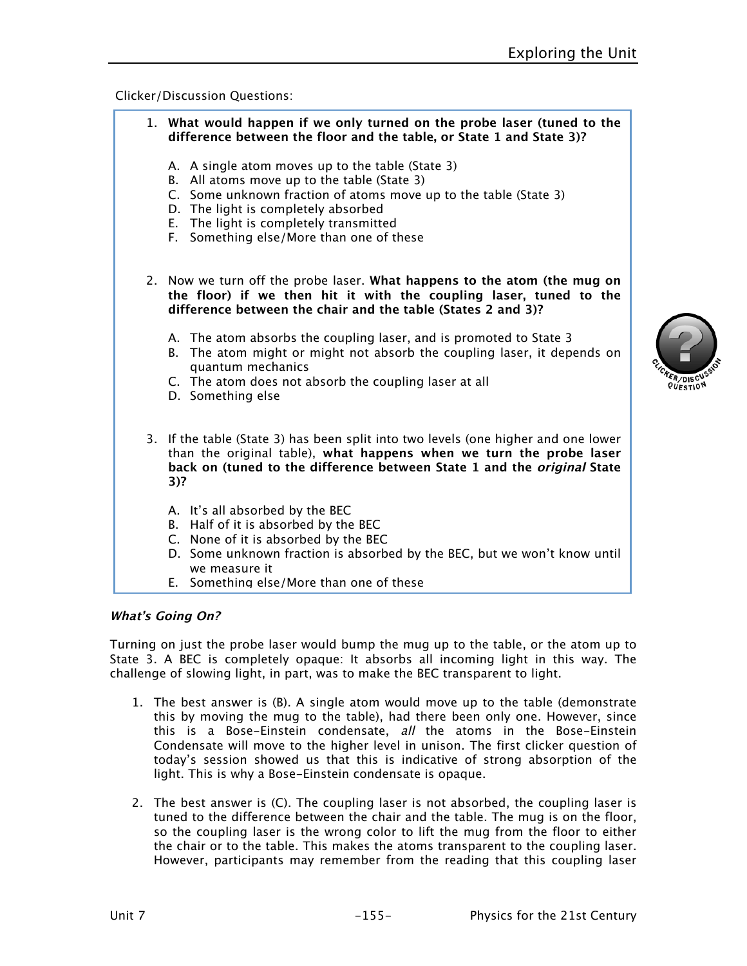#### Clicker/Discussion Questions:

| 1. What would happen if we only turned on the probe laser (tuned to the<br>difference between the floor and the table, or State 1 and State 3)?                                                                                                                                                     |
|-----------------------------------------------------------------------------------------------------------------------------------------------------------------------------------------------------------------------------------------------------------------------------------------------------|
| A. A single atom moves up to the table (State 3)<br>B. All atoms move up to the table (State 3)<br>C. Some unknown fraction of atoms move up to the table (State 3)<br>D. The light is completely absorbed<br>The light is completely transmitted<br>Е.<br>F. Something else/More than one of these |
| 2. Now we turn off the probe laser. What happens to the atom (the mug on<br>the floor) if we then hit it with the coupling laser, tuned to the<br>difference between the chair and the table (States 2 and 3)?                                                                                      |
| A. The atom absorbs the coupling laser, and is promoted to State 3<br>B. The atom might or might not absorb the coupling laser, it depends on<br>quantum mechanics<br>C. The atom does not absorb the coupling laser at all<br>D. Something else                                                    |
| 3. If the table (State 3) has been split into two levels (one higher and one lower<br>than the original table), what happens when we turn the probe laser<br>back on (tuned to the difference between State 1 and the <i>original</i> State<br>$3)$ ?                                               |
| A. It's all absorbed by the BEC<br>B. Half of it is absorbed by the BEC<br>C. None of it is absorbed by the BEC<br>D. Some unknown fraction is absorbed by the BEC, but we won't know until<br>we measure it                                                                                        |

E. Something else/More than one of these

#### **What's Going On?**

Turning on just the probe laser would bump the mug up to the table, or the atom up to State 3. A BEC is completely opaque: It absorbs all incoming light in this way. The challenge of slowing light, in part, was to make the BEC transparent to light.

- 1. The best answer is (B). A single atom would move up to the table (demonstrate this by moving the mug to the table), had there been only one. However, since this is a Bose-Einstein condensate, all the atoms in the Bose-Einstein Condensate will move to the higher level in unison. The first clicker question of today's session showed us that this is indicative of strong absorption of the light. This is why a Bose-Einstein condensate is opaque.
- 2. The best answer is (C). The coupling laser is not absorbed, the coupling laser is tuned to the difference between the chair and the table. The mug is on the floor, so the coupling laser is the wrong color to lift the mug from the floor to either the chair or to the table. This makes the atoms transparent to the coupling laser. However, participants may remember from the reading that this coupling laser

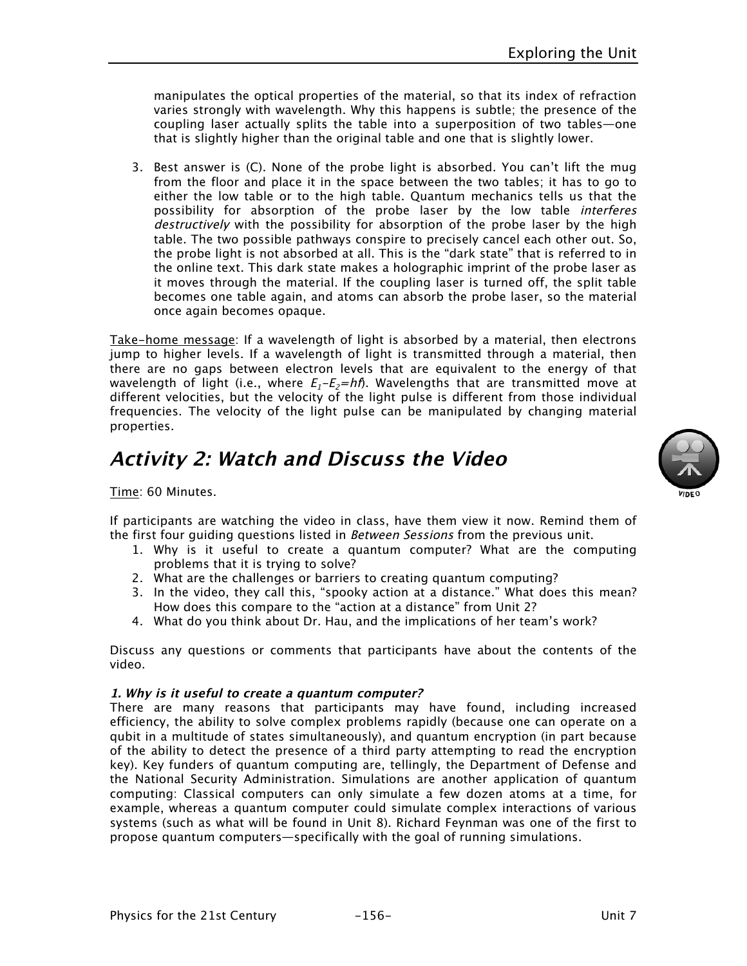manipulates the optical properties of the material, so that its index of refraction varies strongly with wavelength. Why this happens is subtle; the presence of the coupling laser actually splits the table into a superposition of two tables—one that is slightly higher than the original table and one that is slightly lower.

3. Best answer is (C). None of the probe light is absorbed. You can't lift the mug from the floor and place it in the space between the two tables; it has to go to either the low table or to the high table. Quantum mechanics tells us that the possibility for absorption of the probe laser by the low table interferes destructively with the possibility for absorption of the probe laser by the high table. The two possible pathways conspire to precisely cancel each other out. So, the probe light is not absorbed at all. This is the "dark state" that is referred to in the online text. This dark state makes a holographic imprint of the probe laser as it moves through the material. If the coupling laser is turned off, the split table becomes one table again, and atoms can absorb the probe laser, so the material once again becomes opaque.

Take-home message: If a wavelength of light is absorbed by a material, then electrons jump to higher levels. If a wavelength of light is transmitted through a material, then there are no gaps between electron levels that are equivalent to the energy of that wavelength of light (i.e., where  $E_1-E_2=h\hat{\theta}$ ). Wavelengths that are transmitted move at different velocities, but the velocity of the light pulse is different from those individual frequencies. The velocity of the light pulse can be manipulated by changing material properties.

## **Activity 2: Watch and Discuss the Video**

Time: 60 Minutes.

If participants are watching the video in class, have them view it now. Remind them of the first four quiding questions listed in *Between Sessions* from the previous unit.

- 1. Why is it useful to create a quantum computer? What are the computing problems that it is trying to solve?
- 2. What are the challenges or barriers to creating quantum computing?
- 3. In the video, they call this, "spooky action at a distance." What does this mean? How does this compare to the "action at a distance" from Unit 2?
- 4. What do you think about Dr. Hau, and the implications of her team's work?

Discuss any questions or comments that participants have about the contents of the video.

#### **1. Why is it useful to create a quantum computer?**

There are many reasons that participants may have found, including increased efficiency, the ability to solve complex problems rapidly (because one can operate on a qubit in a multitude of states simultaneously), and quantum encryption (in part because of the ability to detect the presence of a third party attempting to read the encryption key). Key funders of quantum computing are, tellingly, the Department of Defense and the National Security Administration. Simulations are another application of quantum computing: Classical computers can only simulate a few dozen atoms at a time, for example, whereas a quantum computer could simulate complex interactions of various systems (such as what will be found in Unit 8). Richard Feynman was one of the first to propose quantum computers—specifically with the goal of running simulations.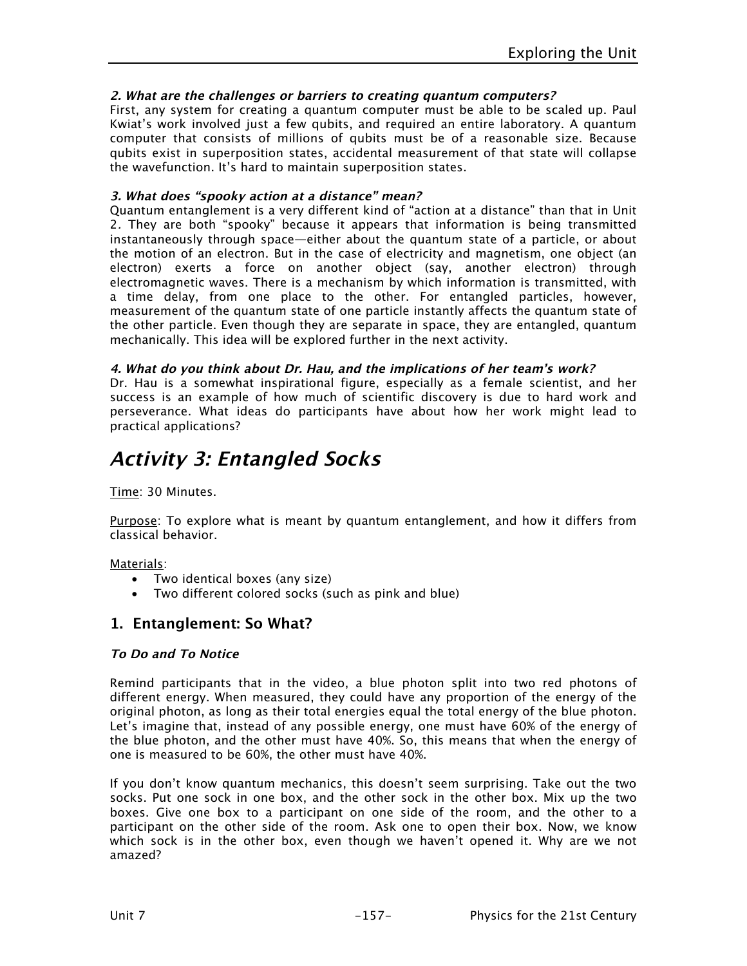#### **2. What are the challenges or barriers to creating quantum computers?**

First, any system for creating a quantum computer must be able to be scaled up. Paul Kwiat's work involved just a few qubits, and required an entire laboratory. A quantum computer that consists of millions of qubits must be of a reasonable size. Because qubits exist in superposition states, accidental measurement of that state will collapse the wavefunction. It's hard to maintain superposition states.

#### **3. What does "spooky action at a distance" mean?**

Quantum entanglement is a very different kind of "action at a distance" than that in Unit 2. They are both "spooky" because it appears that information is being transmitted instantaneously through space—either about the quantum state of a particle, or about the motion of an electron. But in the case of electricity and magnetism, one object (an electron) exerts a force on another object (say, another electron) through electromagnetic waves. There is a mechanism by which information is transmitted, with a time delay, from one place to the other. For entangled particles, however, measurement of the quantum state of one particle instantly affects the quantum state of the other particle. Even though they are separate in space, they are entangled, quantum mechanically. This idea will be explored further in the next activity.

#### **4. What do you think about Dr. Hau, and the implications of her team's work?**

Dr. Hau is a somewhat inspirational figure, especially as a female scientist, and her success is an example of how much of scientific discovery is due to hard work and perseverance. What ideas do participants have about how her work might lead to practical applications?

## **Activity 3: Entangled Socks**

Time: 30 Minutes.

Purpose: To explore what is meant by quantum entanglement, and how it differs from classical behavior.

Materials:

- Two identical boxes (any size)
- Two different colored socks (such as pink and blue)

### **1. Entanglement: So What?**

#### **To Do and To Notice**

Remind participants that in the video, a blue photon split into two red photons of different energy. When measured, they could have any proportion of the energy of the original photon, as long as their total energies equal the total energy of the blue photon. Let's imagine that, instead of any possible energy, one must have 60% of the energy of the blue photon, and the other must have 40%. So, this means that when the energy of one is measured to be 60%, the other must have 40%.

If you don't know quantum mechanics, this doesn't seem surprising. Take out the two socks. Put one sock in one box, and the other sock in the other box. Mix up the two boxes. Give one box to a participant on one side of the room, and the other to a participant on the other side of the room. Ask one to open their box. Now, we know which sock is in the other box, even though we haven't opened it. Why are we not amazed?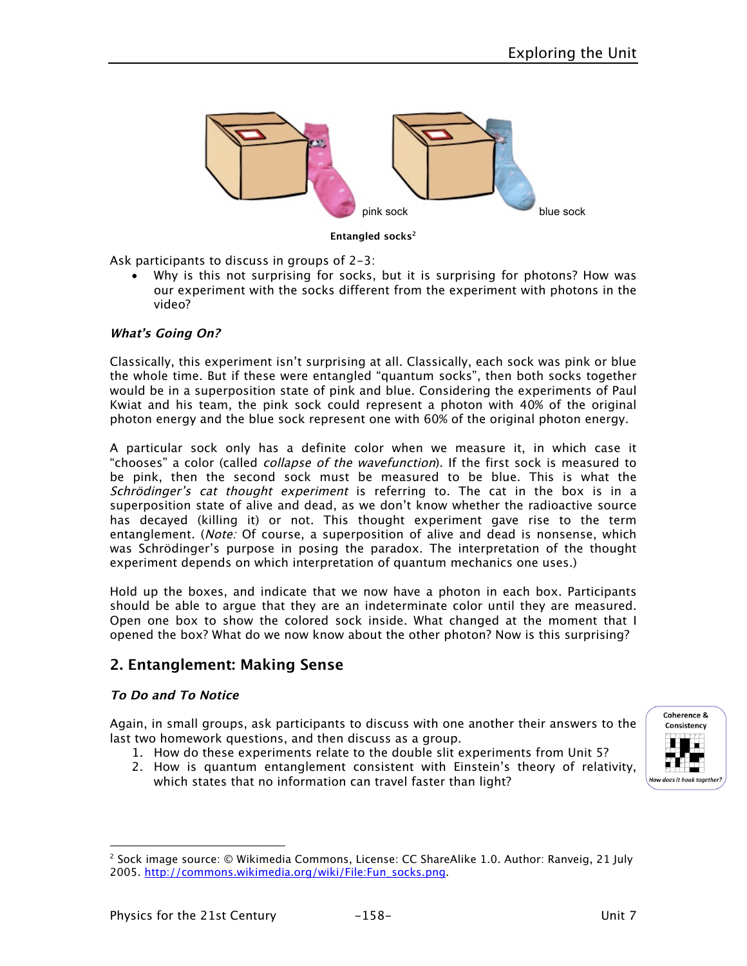

**Entangled socks2**

Ask participants to discuss in groups of 2-3:

Why is this not surprising for socks, but it is surprising for photons? How was our experiment with the socks different from the experiment with photons in the video?

#### **What's Going On?**

Classically, this experiment isn't surprising at all. Classically, each sock was pink or blue the whole time. But if these were entangled "quantum socks", then both socks together would be in a superposition state of pink and blue. Considering the experiments of Paul Kwiat and his team, the pink sock could represent a photon with 40% of the original photon energy and the blue sock represent one with 60% of the original photon energy.

A particular sock only has a definite color when we measure it, in which case it "chooses" a color (called collapse of the wavefunction). If the first sock is measured to be pink, then the second sock must be measured to be blue. This is what the Schrödinger's cat thought experiment is referring to. The cat in the box is in a superposition state of alive and dead, as we don't know whether the radioactive source has decayed (killing it) or not. This thought experiment gave rise to the term entanglement. (Note: Of course, a superposition of alive and dead is nonsense, which was Schrödinger's purpose in posing the paradox. The interpretation of the thought experiment depends on which interpretation of quantum mechanics one uses.)

Hold up the boxes, and indicate that we now have a photon in each box. Participants should be able to argue that they are an indeterminate color until they are measured. Open one box to show the colored sock inside. What changed at the moment that I opened the box? What do we now know about the other photon? Now is this surprising?

### **2. Entanglement: Making Sense**

#### **To Do and To Notice**

 $\overline{a}$ 

Again, in small groups, ask participants to discuss with one another their answers to the last two homework questions, and then discuss as a group.

- 1. How do these experiments relate to the double slit experiments from Unit 5?
- 2. How is quantum entanglement consistent with Einstein's theory of relativity, which states that no information can travel faster than light?



<sup>2</sup> Sock image source: © Wikimedia Commons, License: CC ShareAlike 1.0. Author: Ranveig, 21 July 2005. http://commons.wikimedia.org/wiki/File:Fun\_socks.png.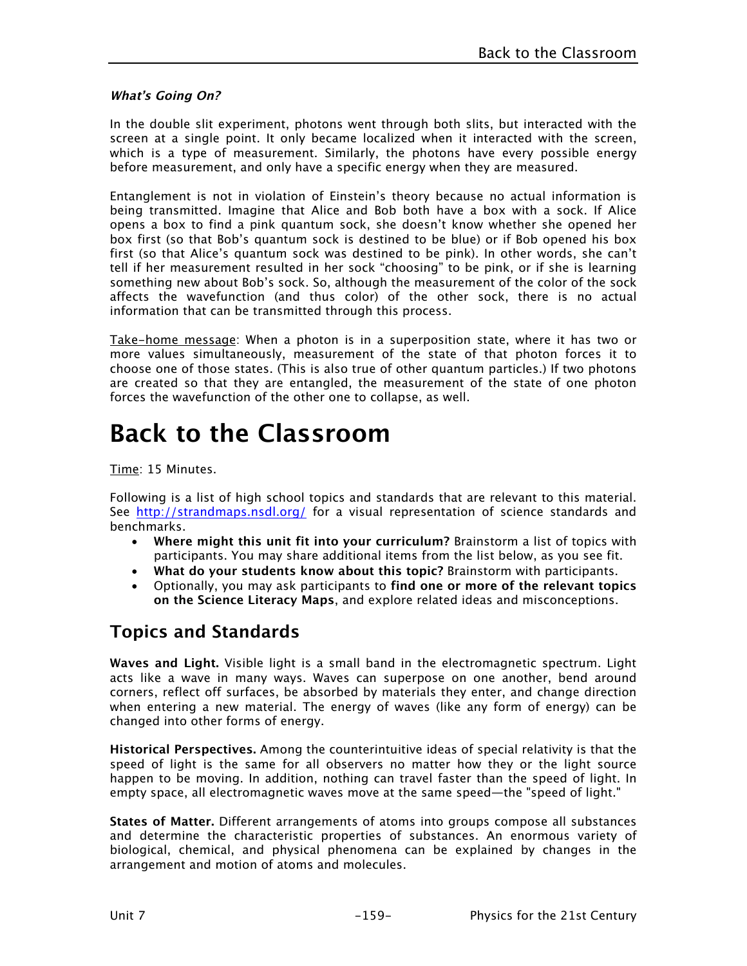#### **What's Going On?**

In the double slit experiment, photons went through both slits, but interacted with the screen at a single point. It only became localized when it interacted with the screen, which is a type of measurement. Similarly, the photons have every possible energy before measurement, and only have a specific energy when they are measured.

Entanglement is not in violation of Einstein's theory because no actual information is being transmitted. Imagine that Alice and Bob both have a box with a sock. If Alice opens a box to find a pink quantum sock, she doesn't know whether she opened her box first (so that Bob's quantum sock is destined to be blue) or if Bob opened his box first (so that Alice's quantum sock was destined to be pink). In other words, she can't tell if her measurement resulted in her sock "choosing" to be pink, or if she is learning something new about Bob's sock. So, although the measurement of the color of the sock affects the wavefunction (and thus color) of the other sock, there is no actual information that can be transmitted through this process.

Take-home message: When a photon is in a superposition state, where it has two or more values simultaneously, measurement of the state of that photon forces it to choose one of those states. (This is also true of other quantum particles.) If two photons are created so that they are entangled, the measurement of the state of one photon forces the wavefunction of the other one to collapse, as well.

# **Back to the Classroom**

Time: 15 Minutes.

Following is a list of high school topics and standards that are relevant to this material. See http://strandmaps.nsdl.org/ for a visual representation of science standards and benchmarks.

- **Where might this unit fit into your curriculum?** Brainstorm a list of topics with participants. You may share additional items from the list below, as you see fit.
- **What do your students know about this topic?** Brainstorm with participants.
- Optionally, you may ask participants to **find one or more of the relevant topics on the Science Literacy Maps**, and explore related ideas and misconceptions.

## **Topics and Standards**

**Waves and Light.** Visible light is a small band in the electromagnetic spectrum. Light acts like a wave in many ways. Waves can superpose on one another, bend around corners, reflect off surfaces, be absorbed by materials they enter, and change direction when entering a new material. The energy of waves (like any form of energy) can be changed into other forms of energy.

**Historical Perspectives.** Among the counterintuitive ideas of special relativity is that the speed of light is the same for all observers no matter how they or the light source happen to be moving. In addition, nothing can travel faster than the speed of light. In empty space, all electromagnetic waves move at the same speed—the "speed of light."

**States of Matter.** Different arrangements of atoms into groups compose all substances and determine the characteristic properties of substances. An enormous variety of biological, chemical, and physical phenomena can be explained by changes in the arrangement and motion of atoms and molecules.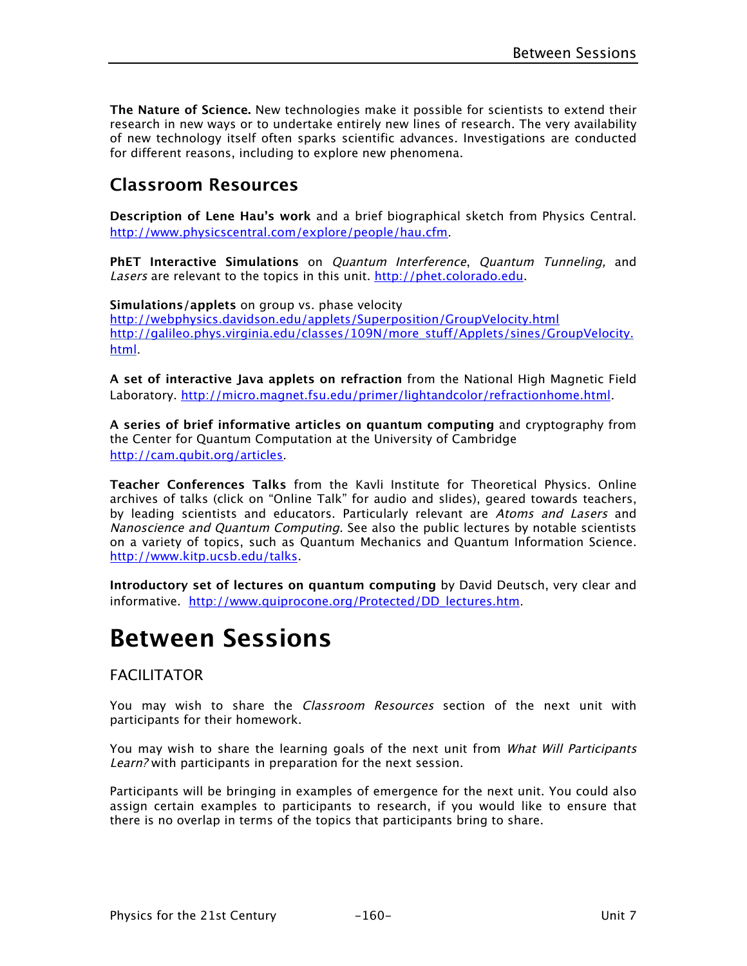**The Nature of Science.** New technologies make it possible for scientists to extend their research in new ways or to undertake entirely new lines of research. The very availability of new technology itself often sparks scientific advances. Investigations are conducted for different reasons, including to explore new phenomena.

## **Classroom Resources**

**Description of Lene Hau's work** and a brief biographical sketch from Physics Central. http://www.physicscentral.com/explore/people/hau.cfm.

**PhET Interactive Simulations** on Quantum Interference, Quantum Tunneling, and Lasers are relevant to the topics in this unit. http://phet.colorado.edu.

**Simulations/applets** on group vs. phase velocity http://webphysics.davidson.edu/applets/Superposition/GroupVelocity.html http://galileo.phys.virginia.edu/classes/109N/more\_stuff/Applets/sines/GroupVelocity. html.

**A set of interactive Java applets on refraction** from the National High Magnetic Field Laboratory. http://micro.magnet.fsu.edu/primer/lightandcolor/refractionhome.html.

**A series of brief informative articles on quantum computing** and cryptography from the Center for Quantum Computation at the University of Cambridge http://cam.qubit.org/articles.

**Teacher Conferences Talks** from the Kavli Institute for Theoretical Physics. Online archives of talks (click on "Online Talk" for audio and slides), geared towards teachers, by leading scientists and educators. Particularly relevant are Atoms and Lasers and Nanoscience and Quantum Computing. See also the public lectures by notable scientists on a variety of topics, such as Quantum Mechanics and Quantum Information Science. http://www.kitp.ucsb.edu/talks.

**Introductory set of lectures on quantum computing** by David Deutsch, very clear and informative. http://www.quiprocone.org/Protected/DD\_lectures.htm.

# **Between Sessions**

#### FACILITATOR

You may wish to share the Classroom Resources section of the next unit with participants for their homework.

You may wish to share the learning goals of the next unit from What Will Participants Learn? with participants in preparation for the next session.

Participants will be bringing in examples of emergence for the next unit. You could also assign certain examples to participants to research, if you would like to ensure that there is no overlap in terms of the topics that participants bring to share.